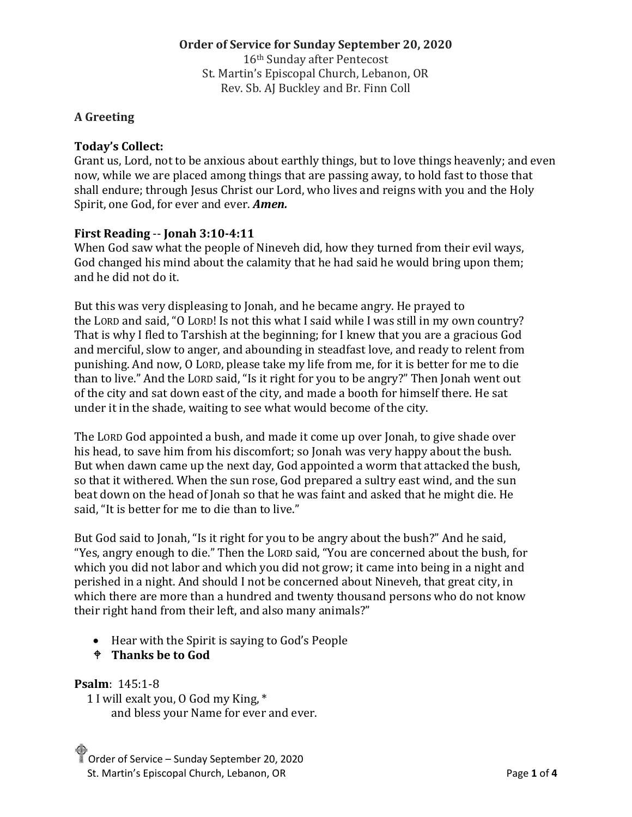## **Order of Service for Sunday September 20, 2020**

16th Sunday after Pentecost St. Martin's Episcopal Church, Lebanon, OR Rev. Sb. AJ Buckley and Br. Finn Coll

# **A Greeting**

# **Today's Collect:**

Grant us, Lord, not to be anxious about earthly things, but to love things heavenly; and even now, while we are placed among things that are passing away, to hold fast to those that shall endure; through Jesus Christ our Lord, who lives and reigns with you and the Holy Spirit, one God, for ever and ever. *Amen.*

# **First Reading** -- **Jonah 3:10-4:11**

When God saw what the people of Nineveh did, how they turned from their evil ways, God changed his mind about the calamity that he had said he would bring upon them; and he did not do it.

But this was very displeasing to Jonah, and he became angry. He prayed to the LORD and said, "O LORD! Is not this what I said while I was still in my own country? That is why I fled to Tarshish at the beginning; for I knew that you are a gracious God and merciful, slow to anger, and abounding in steadfast love, and ready to relent from punishing. And now, O LORD, please take my life from me, for it is better for me to die than to live." And the LORD said, "Is it right for you to be angry?" Then Jonah went out of the city and sat down east of the city, and made a booth for himself there. He sat under it in the shade, waiting to see what would become of the city.

The LORD God appointed a bush, and made it come up over Jonah, to give shade over his head, to save him from his discomfort; so Jonah was very happy about the bush. But when dawn came up the next day, God appointed a worm that attacked the bush, so that it withered. When the sun rose, God prepared a sultry east wind, and the sun beat down on the head of Jonah so that he was faint and asked that he might die. He said, "It is better for me to die than to live."

But God said to Jonah, "Is it right for you to be angry about the bush?" And he said, "Yes, angry enough to die." Then the LORD said, "You are concerned about the bush, for which you did not labor and which you did not grow; it came into being in a night and perished in a night. And should I not be concerned about Nineveh, that great city, in which there are more than a hundred and twenty thousand persons who do not know their right hand from their left, and also many animals?"

- Hear with the Spirit is saying to God's People
- **Thanks be to God**

# **Psalm**: 145:1-8

1 I will exalt you, O God my King, \* and bless your Name for ever and ever.

Order of Service – Sunday September 20, 2020 St. Martin's Episcopal Church, Lebanon, OR **Page 1** of 4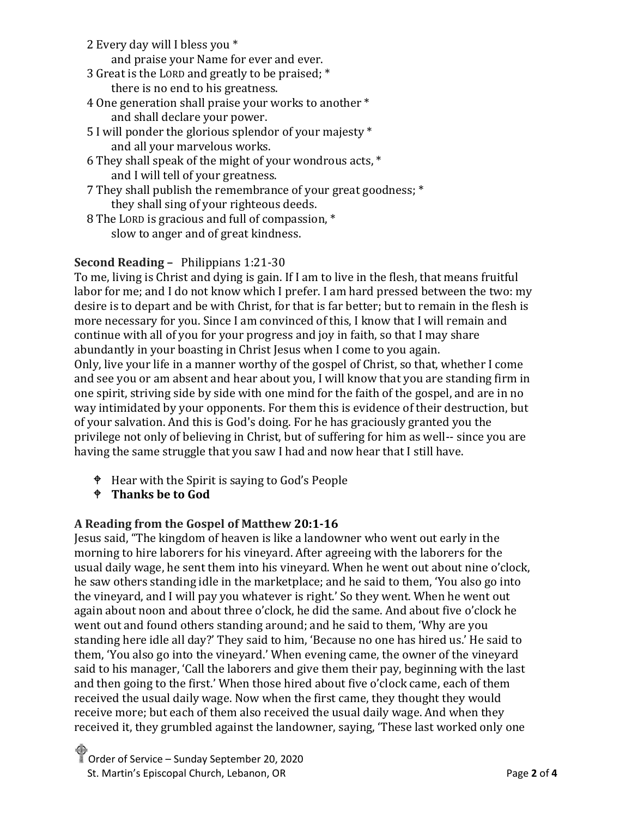2 Every day will I bless you \*

and praise your Name for ever and ever.

- 3 Great is the LORD and greatly to be praised; \* there is no end to his greatness.
- 4 One generation shall praise your works to another \* and shall declare your power.
- 5 I will ponder the glorious splendor of your majesty \* and all your marvelous works.
- 6 They shall speak of the might of your wondrous acts, \* and I will tell of your greatness.
- 7 They shall publish the remembrance of your great goodness; \* they shall sing of your righteous deeds.
- 8 The LORD is gracious and full of compassion, \* slow to anger and of great kindness.

# **Second Reading –** Philippians 1:21-30

To me, living is Christ and dying is gain. If I am to live in the flesh, that means fruitful labor for me; and I do not know which I prefer. I am hard pressed between the two: my desire is to depart and be with Christ, for that is far better; but to remain in the flesh is more necessary for you. Since I am convinced of this, I know that I will remain and continue with all of you for your progress and joy in faith, so that I may share abundantly in your boasting in Christ Jesus when I come to you again. Only, live your life in a manner worthy of the gospel of Christ, so that, whether I come and see you or am absent and hear about you, I will know that you are standing firm in one spirit, striving side by side with one mind for the faith of the gospel, and are in no way intimidated by your opponents. For them this is evidence of their destruction, but of your salvation. And this is God's doing. For he has graciously granted you the privilege not only of believing in Christ, but of suffering for him as well-- since you are having the same struggle that you saw I had and now hear that I still have.

- Hear with the Spirit is saying to God's People
- **Thanks be to God**

# **A Reading from the Gospel of Matthew 20:1-16**

Jesus said, "The kingdom of heaven is like a landowner who went out early in the morning to hire laborers for his vineyard. After agreeing with the laborers for the usual daily wage, he sent them into his vineyard. When he went out about nine o'clock, he saw others standing idle in the marketplace; and he said to them, 'You also go into the vineyard, and I will pay you whatever is right.' So they went. When he went out again about noon and about three o'clock, he did the same. And about five o'clock he went out and found others standing around; and he said to them, 'Why are you standing here idle all day?' They said to him, 'Because no one has hired us.' He said to them, 'You also go into the vineyard.' When evening came, the owner of the vineyard said to his manager, 'Call the laborers and give them their pay, beginning with the last and then going to the first.' When those hired about five o'clock came, each of them received the usual daily wage. Now when the first came, they thought they would receive more; but each of them also received the usual daily wage. And when they received it, they grumbled against the landowner, saying, 'These last worked only one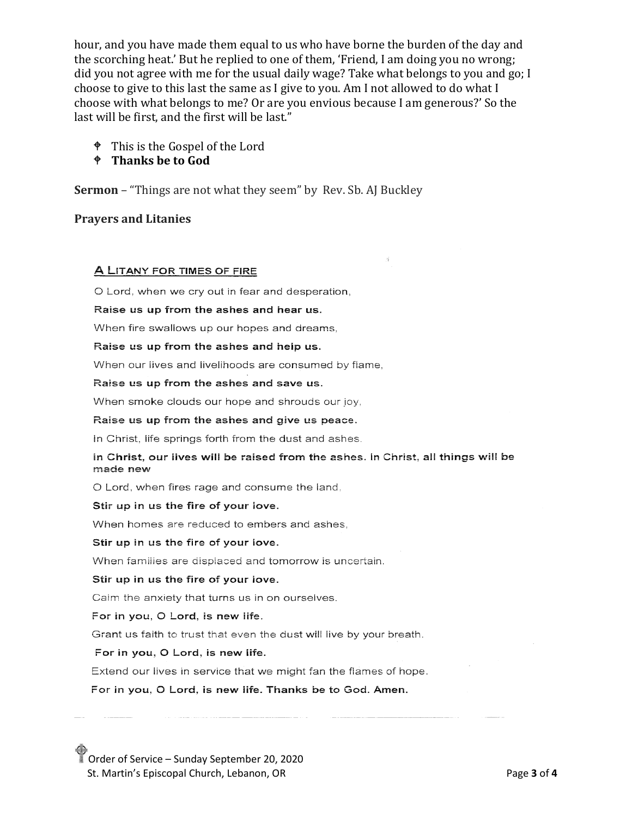hour, and you have made them equal to us who have borne the burden of the day and the scorching heat.' But he replied to one of them, 'Friend, I am doing you no wrong; did you not agree with me for the usual daily wage? Take what belongs to you and go; I choose to give to this last the same as I give to you. Am I not allowed to do what I choose with what belongs to me? Or are you envious because I am generous?' So the last will be first, and the first will be last."

<sup> $\bullet$ </sup> This is the Gospel of the Lord

### $\div$  Thanks be to God

**Sermon** – "Things are not what they seem" by Rev. Sb. AJ Buckley

### **Prayers and Litanies**

#### A LITANY FOR TIMES OF FIRE

O Lord, when we cry out in fear and desperation.

#### Raise us up from the ashes and hear us.

When fire swallows up our hopes and dreams,

#### Raise us up from the ashes and help us.

When our lives and livelihoods are consumed by flame.

#### Raise us up from the ashes and save us.

When smoke clouds our hope and shrouds our joy,

#### Raise us up from the ashes and give us peace.

In Christ, life springs forth from the dust and ashes.

#### in Christ, our lives will be raised from the ashes. In Christ, all things will be made new

O Lord, when fires rage and consume the land.

#### Stir up in us the fire of your love.

When homes are reduced to embers and ashes.

#### Stir up in us the fire of your love.

When families are displaced and tomorrow is uncertain.

#### Stir up in us the fire of your love.

Calm the anxiety that turns us in on ourselves.

#### For in you, O Lord, is new life.

Grant us faith to trust that even the dust will live by your breath.

#### For in you, O Lord, is new life.

Extend our lives in service that we might fan the flames of hope.

For in you, O Lord, is new life. Thanks be to God. Amen.

Order of Service – Sunday September 20, 2020 St. Martin's Episcopal Church, Lebanon, OR